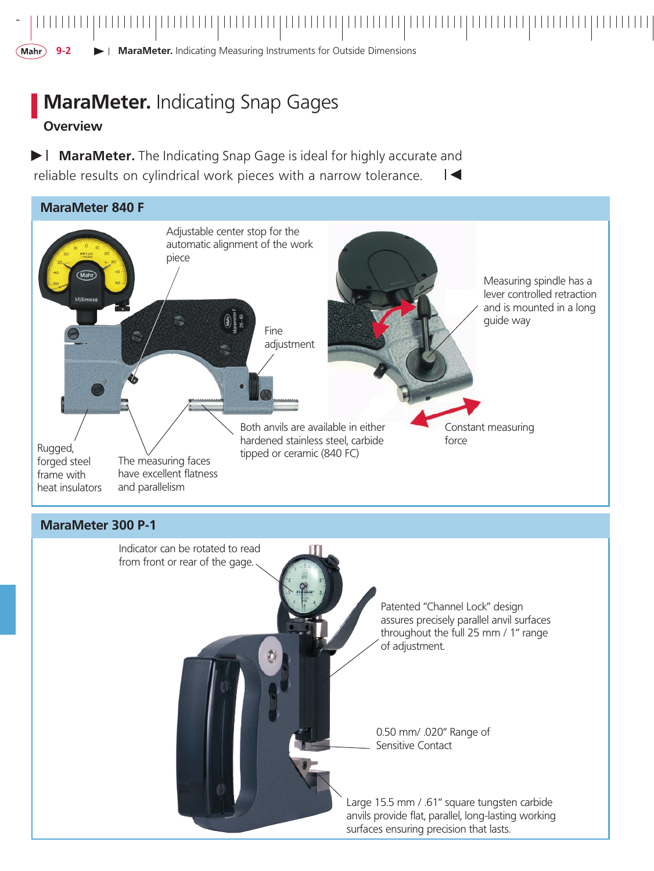**9- MaraMeter.** Indicating Measuring Instruments for Outside Dimensions

,,,,,,,,,,,,,,,,,,,,,,,,,,,,

# **MaraMeter.** Indicating Snap Gages

## **Overview**

*-*

(Mahr)

**MaraMeter.** The Indicating Snap Gage is ideal for highly accurate and reliable results on cylindrical work pieces with a narrow tolerance.  $\overline{\phantom{a}}$ 



Large 15.5 mm / .61" square tungsten carbide anvils provide flat, parallel, long-lasting working surfaces ensuring precision that lasts.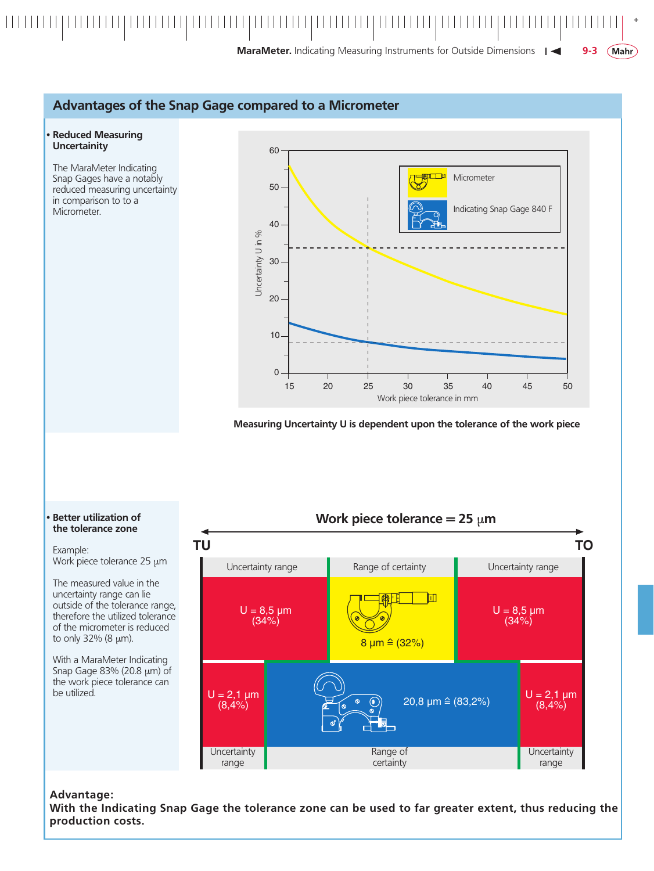

MaraMeter. Indicating Measuring Instruments for Outside Dimensions | <

#### Advantages of the Snap Gage compared to a Micrometer

#### **Reduced Measuring Uncertainity**

The MaraMeter Indicating Snap Gages have a notably reduced measuring uncertainty in comparison to to a Micrometer.



Measuring Uncertainty U is dependent upon the tolerance of the work piece

#### Work piece tolerance = 25  $\mu$ m **TU TO** Uncertainty range Range of certainty Uncertainty range  $\blacksquare$  $U = 8.5 \mu m$  $U = 8,5 \mu m$  $(34%)$  $(34%)$  $8 \mu m \hat{=} (32\%)$  $U = 2,1 \mu m$  $U = 2,1 \mu m$ 20,8  $\mu$ m  $\hat{=}$  (83,2%)  $\bullet$  $(8,4%)$  $(8,4%)$ Uncertainty Range of Uncertainty range certainty range

#### **Better utilization of** the tolerance zone

Example: Work piece tolerance  $25 \mu m$ 

The measured value in the uncertainty range can lie outside of the tolerance range, therefore the utilized tolerance of the micrometer is reduced to only  $32\%$  (8  $\mu$ m).

With a MaraMeter Indicating Snap Gage 83% (20.8 µm) of the work piece tolerance can be utilized.

#### Advantage:

With the Indicating Snap Gage the tolerance zone can be used to far greater extent, thus reducing the production costs.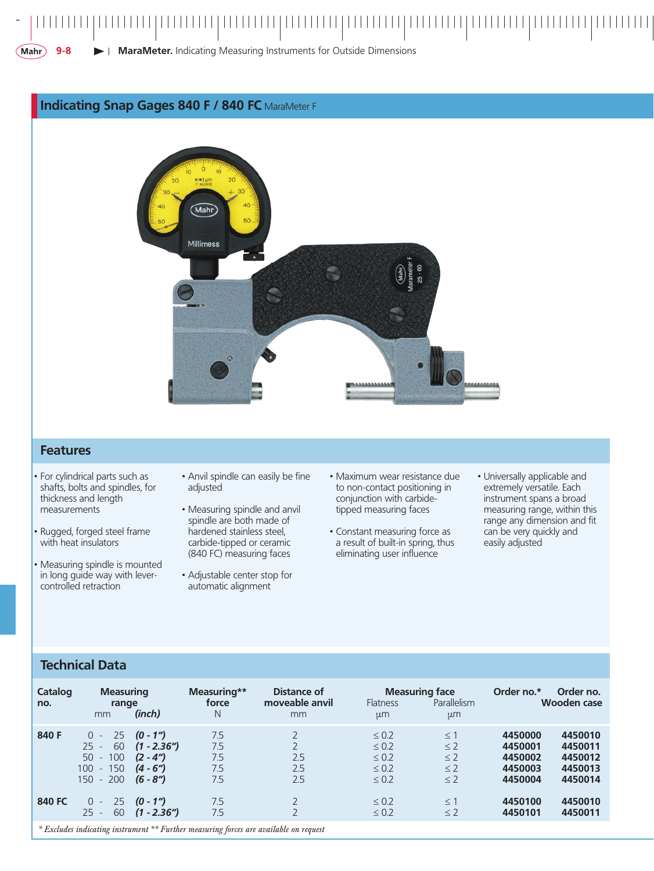#### **MaraMeter.** Indicating Measuring Instruments for Outside Dimensions $(Mahr)$ **9-**

#### **Indicating Snap Gages 840 F / 840 FC** MaraMeter F



#### **Features**

*-*

- For cylindrical parts such as shafts, bolts and spindles, for thickness and length measurements
- Rugged, forged steel frame with heat insulators
- Measuring spindle is mounted in long guide way with levercontrolled retraction
- Anvil spindle can easily be fine adjusted
- Measuring spindle and anvil spindle are both made of hardened stainless steel, carbide-tipped or ceramic (840 FC) measuring faces
- Adjustable center stop for automatic alignment
- Maximum wear resistance due to non-contact positioning in conjunction with carbidetipped measuring faces
- Constant measuring force as a result of built-in spring, thus eliminating user influence
- Universally applicable and extremely versatile. Each instrument spans a broad measuring range, within this range any dimension and fit can be very quickly and easily adjusted

### **Technical Data**

| Catalog<br>no.                                                                        | <b>Measuring</b><br>range<br>mm                                                    | (inch)                                                                 | Measuring**<br>force<br>Ν       | Distance of<br>moveable anvil<br>mm                   | <b>Flatness</b><br>µm                                              | <b>Measuring face</b><br>Parallelism<br>µm               | Order no.*                                          | Order no.<br><b>Wooden case</b>                     |  |
|---------------------------------------------------------------------------------------|------------------------------------------------------------------------------------|------------------------------------------------------------------------|---------------------------------|-------------------------------------------------------|--------------------------------------------------------------------|----------------------------------------------------------|-----------------------------------------------------|-----------------------------------------------------|--|
| 840 F                                                                                 | -25<br>$\Omega$<br>60<br>$25 -$<br>$-100$<br>50<br>$-150$<br>100<br>$-200$<br>150. | $(0 - 1'')$<br>$(1 - 2.36")$<br>$(2 - 4u)$<br>$(4 - 6")$<br>$(6 - 84)$ | 7.5<br>7.5<br>7.5<br>7.5<br>7.5 | $\overline{2}$<br>$\overline{2}$<br>2.5<br>2.5<br>2.5 | $\leq 0.2$<br>$\leq 0.2$<br>$\leq 0.2$<br>$\leq 0.2$<br>$\leq 0.2$ | $\leq$ 1<br>$\leq$ 2<br>$\leq$ 2<br>$\leq$ 2<br>$\leq$ 2 | 4450000<br>4450001<br>4450002<br>4450003<br>4450004 | 4450010<br>4450011<br>4450012<br>4450013<br>4450014 |  |
| 840 FC                                                                                | -25<br>$\Omega$<br>$\sim$<br>60<br>$25 -$                                          | $(0 - 1'')$<br>$(1 - 2.36'')$                                          | 7.5<br>7.5                      | $\overline{2}$                                        | $\leq 0.2$<br>$\leq 0.2$                                           | $\leq$ 1<br>$\leq$ 2                                     | 4450100<br>4450101                                  | 4450010<br>4450011                                  |  |
| * Excludes indicating instrument ** Further measuring forces are available on request |                                                                                    |                                                                        |                                 |                                                       |                                                                    |                                                          |                                                     |                                                     |  |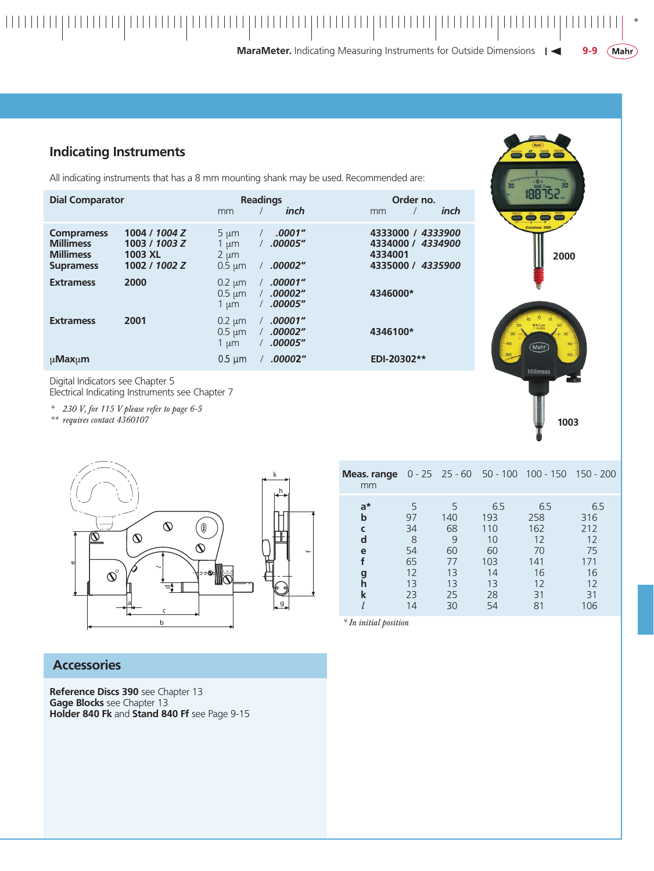#### *+* **MaraMeter.** Indicating Measuring Instruments for Outside Dimensions |  $(Mahr)$ **9-**

### **Indicating Instruments**

Digital Indicators see Chapter 5

*\*\* requires contact 4360107*

Electrical Indicating Instruments see Chapter 7

*\* 230 V, for 115 V please refer to page 6-5*

All indicating instruments that has a 8 mm mounting shank may be used. Recommended are:

| <b>Dial Comparator</b>                                                        |                                                            | mm                                                 | <b>Readings</b><br>inch                  | Order no.<br>inch<br>mm                                                         |  |  |
|-------------------------------------------------------------------------------|------------------------------------------------------------|----------------------------------------------------|------------------------------------------|---------------------------------------------------------------------------------|--|--|
| <b>Compramess</b><br><b>Millimess</b><br><b>Millimess</b><br><b>Supramess</b> | 1004 / 1004 Z<br>1003 / 1003 Z<br>1003 XL<br>1002 / 1002 Z | $5 \mu m$<br>1 $\mu$ m<br>$2 \mu m$<br>$0.5 \mu m$ | .0001"<br>$\prime$<br>.00005"<br>.00002" | 4333000 /<br>4333900<br>4334000 /<br>4334900<br>4334001<br>4335000 /<br>4335900 |  |  |
| <b>Extramess</b>                                                              | 2000                                                       | $0.2 \mu m$<br>$0.5 \mu m$<br>1 $\mu$ m            | .00001"<br>.00002"<br>.00005"            | 4346000*                                                                        |  |  |
| <b>Extramess</b>                                                              | 2001                                                       | $0.2 \mu m$<br>$0.5 \mu m$<br>$1 \mu m$            | .00001"<br>.00002"<br>.00005"            | 4346100*                                                                        |  |  |
| $\mu$ Max $\mu$ m                                                             |                                                            | $0.5 \mu m$                                        | .00002"                                  | EDI-20302**                                                                     |  |  |





| Meas. range<br>mm                             |                                                        |                                                          |                                                              | $0 - 25$ 25 - 60 50 - 100 100 - 150 150 - 200                |                                                               |  |  |
|-----------------------------------------------|--------------------------------------------------------|----------------------------------------------------------|--------------------------------------------------------------|--------------------------------------------------------------|---------------------------------------------------------------|--|--|
| $a^*$<br>b<br>C<br>d<br>e<br>f<br>g<br>h<br>k | 5<br>97<br>34<br>8<br>54<br>65<br>12<br>13<br>23<br>14 | -5<br>140<br>68<br>9<br>60<br>77<br>13<br>13<br>25<br>30 | 6.5<br>193<br>110<br>10<br>60<br>103<br>14<br>13<br>28<br>54 | 6.5<br>258<br>162<br>12<br>70<br>141<br>16<br>12<br>31<br>81 | 6.5<br>316<br>212<br>12<br>75<br>171<br>16<br>12<br>31<br>106 |  |  |
| * In initial position                         |                                                        |                                                          |                                                              |                                                              |                                                               |  |  |

### **Accessories**

**Reference Discs 390** see Chapter 13 **Gage Blocks** see Chapter 13 **Holder 840 Fk** and **Stand 840 Ff** see Page 9-15